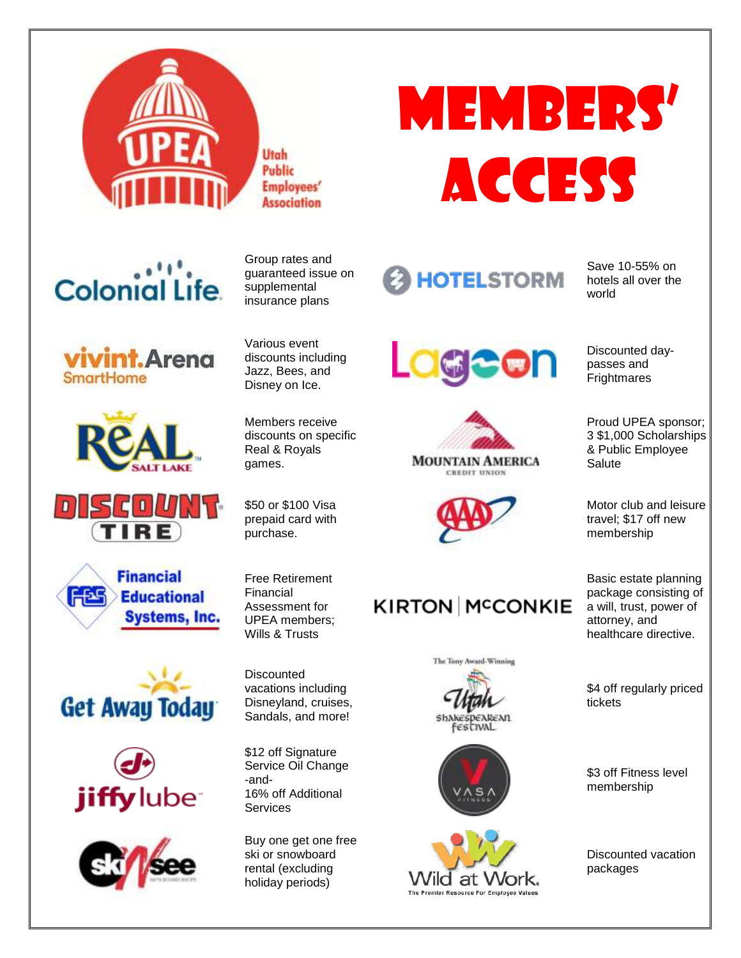

Utah Public **Employees' Association** 

# Colonial Life















Group rates and guaranteed issue on supplemental insurance plans

Various event discounts including Jazz, Bees, and Disney on Ice.

Members receive discounts on specific Real & Royals games.

\$50 or \$100 Visa prepaid card with purchase.

Free Retirement Financial Assessment for UPEA members; Wills & Trusts

**Discounted** vacations including Disneyland, cruises, Sandals, and more!

\$12 off Signature Service Oil Change -and-16% off Additional **Services** 

Buy one get one free ski or snowboard rental (excluding holiday periods)





Save 10-55% on hotels all over the world







# **KIRTON MCCONKIE**







Discounted daypasses and

**Frightmares** 

Proud UPEA sponsor; 3 \$1,000 Scholarships & Public Employee **Salute** 

Motor club and leisure travel; \$17 off new membership

Basic estate planning package consisting of a will, trust, power of attorney, and healthcare directive.

\$4 off regularly priced tickets

\$3 off Fitness level membership

Discounted vacation packages